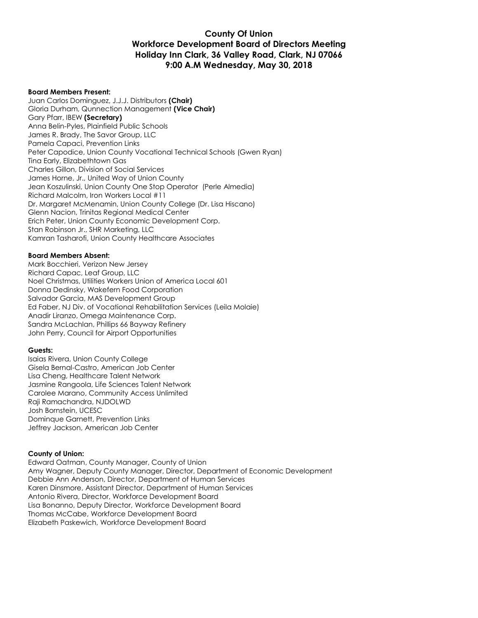#### **County Of Union Workforce Development Board of Directors Meeting Holiday Inn Clark, 36 Valley Road, Clark, NJ 07066 9:00 A.M Wednesday, May 30, 2018**

#### **Board Members Present:**

Juan Carlos Dominguez, J.J.J. Distributors **(Chair)** Gloria Durham, Qunnection Management **(Vice Chair)** Gary Pfarr, IBEW **(Secretary)** Anna Belin-Pyles, Plainfield Public Schools James R. Brady, The Savor Group, LLC Pamela Capaci, Prevention Links Peter Capodice, Union County Vocational Technical Schools (Gwen Ryan) Tina Early, Elizabethtown Gas Charles Gillon, Division of Social Services James Horne, Jr., United Way of Union County Jean Koszulinski, Union County One Stop Operator (Perle Almedia) Richard Malcolm, Iron Workers Local #11 Dr. Margaret McMenamin, Union County College (Dr. Lisa Hiscano) Glenn Nacion, Trinitas Regional Medical Center Erich Peter, Union County Economic Development Corp. Stan Robinson Jr., SHR Marketing, LLC Kamran Tasharofi, Union County Healthcare Associates

#### **Board Members Absent:**

Mark Bocchieri, Verizon New Jersey Richard Capac, Leaf Group, LLC Noel Christmas, Utilities Workers Union of America Local 601 Donna Dedinsky, Wakefern Food Corporation Salvador Garcia, MAS Development Group Ed Faber, NJ Div. of Vocational Rehabilitation Services (Leila Molaie) Anadir Liranzo, Omega Maintenance Corp. Sandra McLachlan, Phillips 66 Bayway Refinery John Perry, Council for Airport Opportunities

#### **Guests:**

Isaias Rivera, Union County College Gisela Bernal-Castro, American Job Center Lisa Cheng, Healthcare Talent Network Jasmine Rangoola, Life Sciences Talent Network Carolee Marano, Community Access Unlimited Raji Ramachandra, NJDOLWD Josh Bornstein, UCESC Dominque Garnett, Prevention Links Jeffrey Jackson, American Job Center

#### **County of Union:**

Edward Oatman, County Manager, County of Union Amy Wagner, Deputy County Manager, Director, Department of Economic Development Debbie Ann Anderson, Director, Department of Human Services Karen Dinsmore, Assistant Director, Department of Human Services Antonio Rivera, Director, Workforce Development Board Lisa Bonanno, Deputy Director, Workforce Development Board Thomas McCabe, Workforce Development Board Elizabeth Paskewich, Workforce Development Board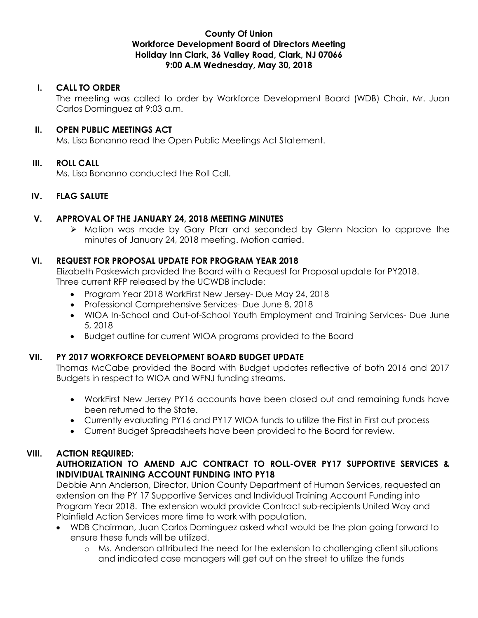#### **County Of Union Workforce Development Board of Directors Meeting Holiday Inn Clark, 36 Valley Road, Clark, NJ 07066 9:00 A.M Wednesday, May 30, 2018**

## **I. CALL TO ORDER**

The meeting was called to order by Workforce Development Board (WDB) Chair, Mr. Juan Carlos Dominguez at 9:03 a.m.

#### **II. OPEN PUBLIC MEETINGS ACT**

Ms. Lisa Bonanno read the Open Public Meetings Act Statement.

### **III. ROLL CALL**

Ms. Lisa Bonanno conducted the Roll Call.

### **IV. FLAG SALUTE**

### **V. APPROVAL OF THE JANUARY 24, 2018 MEETING MINUTES**

 Motion was made by Gary Pfarr and seconded by Glenn Nacion to approve the minutes of January 24, 2018 meeting. Motion carried.

### **VI. REQUEST FOR PROPOSAL UPDATE FOR PROGRAM YEAR 2018**

Elizabeth Paskewich provided the Board with a Request for Proposal update for PY2018. Three current RFP released by the UCWDB include:

- Program Year 2018 WorkFirst New Jersey- Due May 24, 2018
- Professional Comprehensive Services- Due June 8, 2018
- WIOA In-School and Out-of-School Youth Employment and Training Services- Due June 5, 2018
- Budget outline for current WIOA programs provided to the Board

## **VII. PY 2017 WORKFORCE DEVELOPMENT BOARD BUDGET UPDATE**

Thomas McCabe provided the Board with Budget updates reflective of both 2016 and 2017 Budgets in respect to WIOA and WFNJ funding streams.

- WorkFirst New Jersey PY16 accounts have been closed out and remaining funds have been returned to the State.
- Currently evaluating PY16 and PY17 WIOA funds to utilize the First in First out process
- Current Budget Spreadsheets have been provided to the Board for review.

#### **VIII. ACTION REQUIRED:**

## **AUTHORIZATION TO AMEND AJC CONTRACT TO ROLL-OVER PY17 SUPPORTIVE SERVICES & INDIVIDUAL TRAINING ACCOUNT FUNDING INTO PY18**

Debbie Ann Anderson, Director, Union County Department of Human Services, requested an extension on the PY 17 Supportive Services and Individual Training Account Funding into Program Year 2018. The extension would provide Contract sub-recipients United Way and Plainfield Action Services more time to work with population.

- WDB Chairman, Juan Carlos Dominguez asked what would be the plan going forward to ensure these funds will be utilized.
	- o Ms. Anderson attributed the need for the extension to challenging client situations and indicated case managers will get out on the street to utilize the funds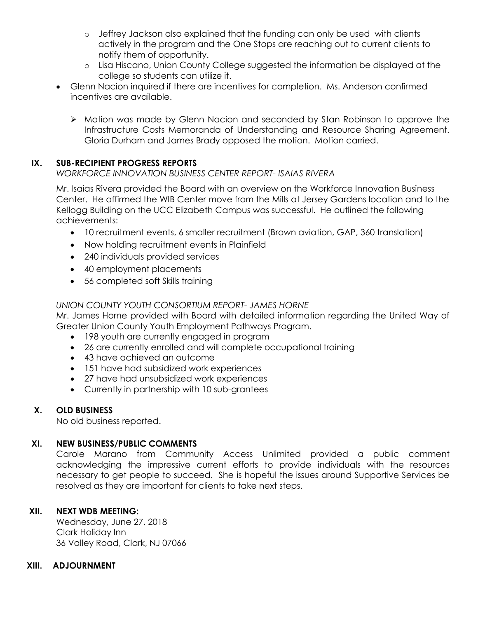- o Jeffrey Jackson also explained that the funding can only be used with clients actively in the program and the One Stops are reaching out to current clients to notify them of opportunity.
- o Lisa Hiscano, Union County College suggested the information be displayed at the college so students can utilize it.
- Glenn Nacion inquired if there are incentives for completion. Ms. Anderson confirmed incentives are available.
	- Motion was made by Glenn Nacion and seconded by Stan Robinson to approve the Infrastructure Costs Memoranda of Understanding and Resource Sharing Agreement. Gloria Durham and James Brady opposed the motion. Motion carried.

# **IX. SUB-RECIPIENT PROGRESS REPORTS**

## *WORKFORCE INNOVATION BUSINESS CENTER REPORT- ISAIAS RIVERA*

Mr. Isaias Rivera provided the Board with an overview on the Workforce Innovation Business Center. He affirmed the WIB Center move from the Mills at Jersey Gardens location and to the Kellogg Building on the UCC Elizabeth Campus was successful. He outlined the following achievements:

- 10 recruitment events, 6 smaller recruitment (Brown aviation, GAP, 360 translation)
- Now holding recruitment events in Plainfield
- 240 individuals provided services
- 40 employment placements
- 56 completed soft Skills training

# *UNION COUNTY YOUTH CONSORTIUM REPORT- JAMES HORNE*

Mr. James Horne provided with Board with detailed information regarding the United Way of Greater Union County Youth Employment Pathways Program.

- 198 youth are currently engaged in program
- 26 are currently enrolled and will complete occupational training
- 43 have achieved an outcome
- 151 have had subsidized work experiences
- 27 have had unsubsidized work experiences
- Currently in partnership with 10 sub-grantees

## **X. OLD BUSINESS**

No old business reported.

## **XI. NEW BUSINESS/PUBLIC COMMENTS**

Carole Marano from Community Access Unlimited provided a public comment acknowledging the impressive current efforts to provide individuals with the resources necessary to get people to succeed. She is hopeful the issues around Supportive Services be resolved as they are important for clients to take next steps.

## **XII. NEXT WDB MEETING:**

Wednesday, June 27, 2018 Clark Holiday Inn 36 Valley Road, Clark, NJ 07066

## **XIII. ADJOURNMENT**